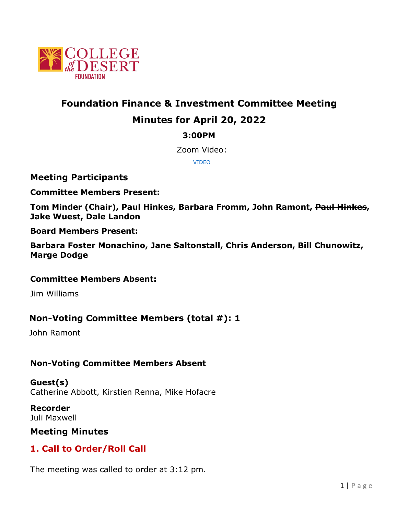

# **Foundation Finance & Investment Committee Meeting Minutes for April 20, 2022**

### **3:00PM**

Zoom Video:

[VIDEO](https://cccconfer.zoom.us/rec/share/P0aO05ETlRdENm0UzRg1dkGyOFPfvpPS3w2LBDuVVQDmijkwJMXss9nYsX8aivbD.L7Awy_WosRK2DBkE?startTime=1648072847000)

#### **Meeting Participants**

**Committee Members Present:** 

**Tom Minder (Chair), Paul Hinkes, Barbara Fromm, John Ramont, Paul Hinkes, Jake Wuest, Dale Landon**

**Board Members Present:** 

**Barbara Foster Monachino, Jane Saltonstall, Chris Anderson, Bill Chunowitz, Marge Dodge**

#### **Committee Members Absent:**

Jim Williams

### **Non-Voting Committee Members (total #): 1**

John Ramont

### **Non-Voting Committee Members Absent**

**Guest(s)** Catherine Abbott, Kirstien Renna, Mike Hofacre

**Recorder** Juli Maxwell

### **Meeting Minutes**

## **1. Call to Order/Roll Call**

The meeting was called to order at 3:12 pm.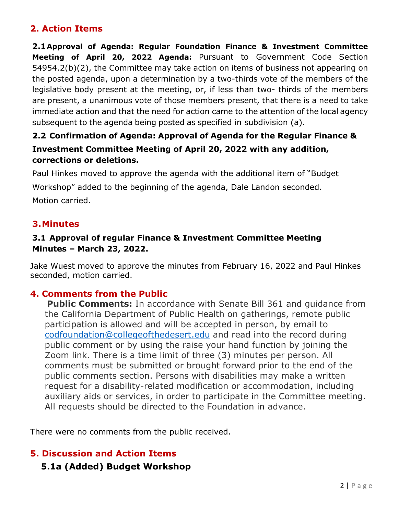## **2. Action Items**

**2.1Approval of Agenda: Regular Foundation Finance & Investment Committee Meeting of April 20, 2022 Agenda:** Pursuant to Government Code Section 54954.2(b)(2), the Committee may take action on items of business not appearing on the posted agenda, upon a determination by a two-thirds vote of the members of the legislative body present at the meeting, or, if less than two- thirds of the members are present, a unanimous vote of those members present, that there is a need to take immediate action and that the need for action came to the attention of the local agency subsequent to the agenda being posted as specified in subdivision (a).

## **2.2 Confirmation of Agenda: Approval of Agenda for the Regular Finance & Investment Committee Meeting of April 20, 2022 with any addition, corrections or deletions.**

Paul Hinkes moved to approve the agenda with the additional item of "Budget Workshop" added to the beginning of the agenda, Dale Landon seconded. Motion carried.

## **3.Minutes**

#### **3.1 Approval of regular Finance & Investment Committee Meeting Minutes – March 23, 2022.**

Jake Wuest moved to approve the minutes from February 16, 2022 and Paul Hinkes seconded, motion carried.

## **4. Comments from the Public**

**Public Comments:** In accordance with Senate Bill 361 and quidance from the California Department of Public Health on gatherings, remote public participation is allowed and will be accepted in person, by email to [codfoundation@collegeofthedesert.edu](mailto:codfoundation@collegeofthedesert.edu) and read into the record during public comment or by using the raise your hand function by joining the Zoom link. There is a time limit of three (3) minutes per person. All comments must be submitted or brought forward prior to the end of the public comments section. Persons with disabilities may make a written request for a disability-related modification or accommodation, including auxiliary aids or services, in order to participate in the Committee meeting. All requests should be directed to the Foundation in advance.

There were no comments from the public received.

### **5. Discussion and Action Items**

### **5.1a (Added) Budget Workshop**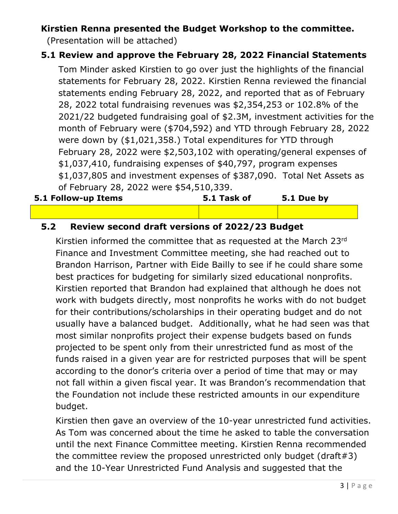## **Kirstien Renna presented the Budget Workshop to the committee.**

(Presentation will be attached)

## **5.1 Review and approve the February 28, 2022 Financial Statements**

Tom Minder asked Kirstien to go over just the highlights of the financial statements for February 28, 2022. Kirstien Renna reviewed the financial statements ending February 28, 2022, and reported that as of February 28, 2022 total fundraising revenues was \$2,354,253 or 102.8% of the 2021/22 budgeted fundraising goal of \$2.3M, investment activities for the month of February were (\$704,592) and YTD through February 28, 2022 were down by (\$1,021,358.) Total expenditures for YTD through February 28, 2022 were \$2,503,102 with operating/general expenses of \$1,037,410, fundraising expenses of \$40,797, program expenses \$1,037,805 and investment expenses of \$387,090. Total Net Assets as of February 28, 2022 were \$54,510,339.

| 5.1 Follow-up Items | 5.1 Task of | 5.1 Due by |
|---------------------|-------------|------------|
|                     |             |            |

## **5.2 Review second draft versions of 2022/23 Budget**

Kirstien informed the committee that as requested at the March 23rd Finance and Investment Committee meeting, she had reached out to Brandon Harrison, Partner with Eide Bailly to see if he could share some best practices for budgeting for similarly sized educational nonprofits. Kirstien reported that Brandon had explained that although he does not work with budgets directly, most nonprofits he works with do not budget for their contributions/scholarships in their operating budget and do not usually have a balanced budget. Additionally, what he had seen was that most similar nonprofits project their expense budgets based on funds projected to be spent only from their unrestricted fund as most of the funds raised in a given year are for restricted purposes that will be spent according to the donor's criteria over a period of time that may or may not fall within a given fiscal year. It was Brandon's recommendation that the Foundation not include these restricted amounts in our expenditure budget.

Kirstien then gave an overview of the 10-year unrestricted fund activities. As Tom was concerned about the time he asked to table the conversation until the next Finance Committee meeting. Kirstien Renna recommended the committee review the proposed unrestricted only budget (draft#3) and the 10-Year Unrestricted Fund Analysis and suggested that the